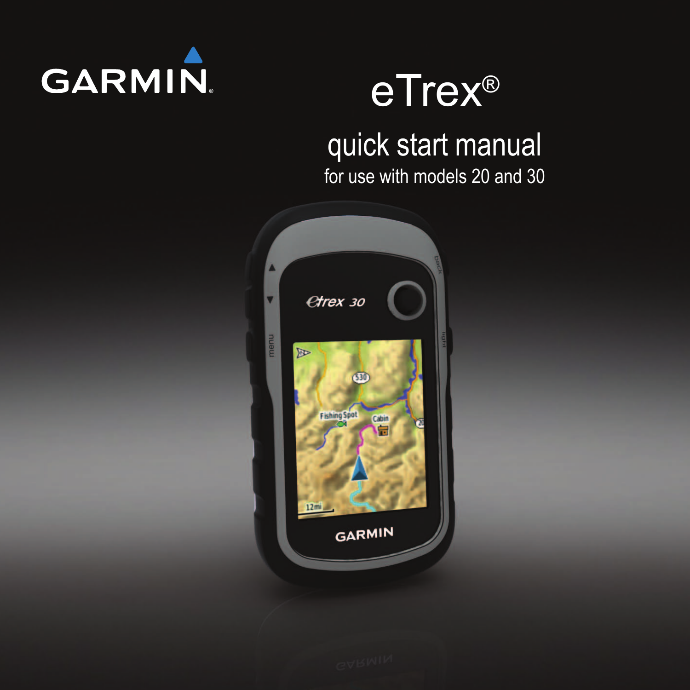

# eTrex®

# quick start manual

for use with models 20 and 30

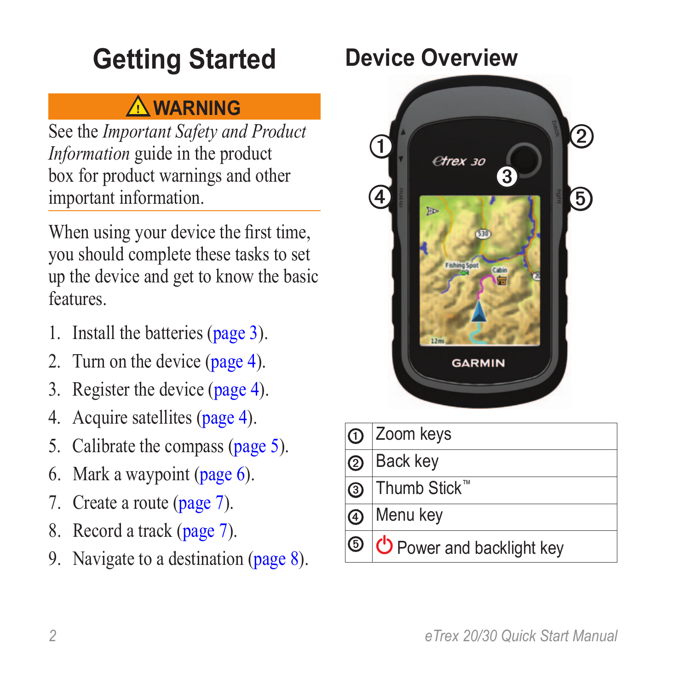# **Getting Started**

### ‹ **warning**

See the *Important Safety and Product Information* guide in the product box for product warnings and other important information.

When using your device the first time, you should complete these tasks to set up the device and get to know the basic features.

- 1. Install the batteries ([page 3](#page-2-0)).
- 2. Turn on the device ([page 4](#page-3-0)).
- 3. Register the device [\(page 4\)](#page-3-1).
- 4. Acquire satellites [\(page 4\)](#page-3-2).
- 5. Calibrate the compass [\(page 5](#page-4-0)).
- 6. Mark a waypoint [\(page 6](#page-5-0)).
- 7. Create a route ([page 7](#page-6-0)).
- 8. Record a track ([page 7\)](#page-6-1).
- 9. Navigate to a destination ([page 8](#page-7-0)).

### <span id="page-1-0"></span>**Device Overview**



| $\Omega$ Zoom keys                |
|-----------------------------------|
| 2 Back key                        |
| <b>③</b> Thumb Stick <sup>™</sup> |
| 4 Menu key                        |
| O O Power and backlight key       |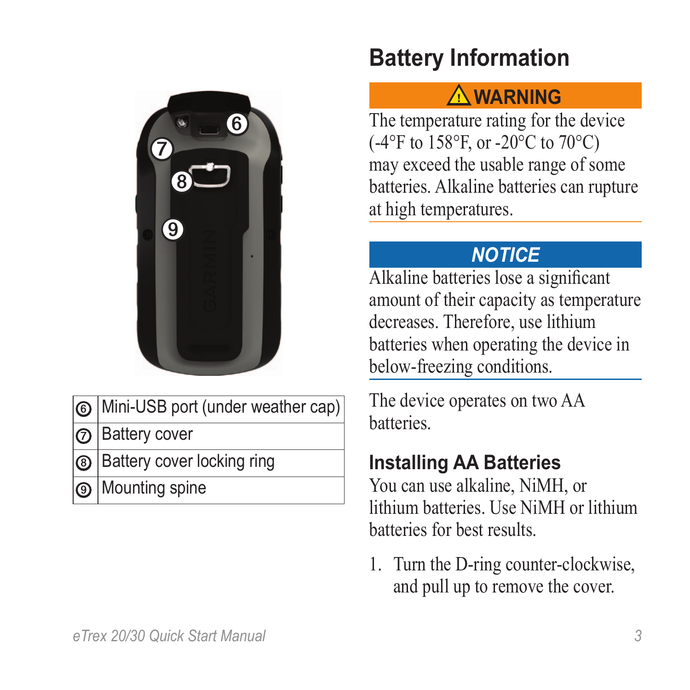

➏ Mini-USB port (under weather cap)

**Battery cover** 

- Battery cover locking ring
- Mounting spine

### **Battery Information**

#### ‹ **warning**

The temperature rating for the device (-4°F to 158°F, or -20°C to 70°C) may exceed the usable range of some batteries. Alkaline batteries can rupture at high temperatures.

#### *notice*

Alkaline batteries lose a significant amount of their capacity as temperature decreases. Therefore, use lithium batteries when operating the device in below-freezing conditions.

The device operates on two AA batteries.

#### <span id="page-2-0"></span>**Installing AA Batteries**

You can use alkaline, NiMH, or lithium batteries. Use NiMH or lithium batteries for best results.

1. Turn the D-ring counter-clockwise, and pull up to remove the cover.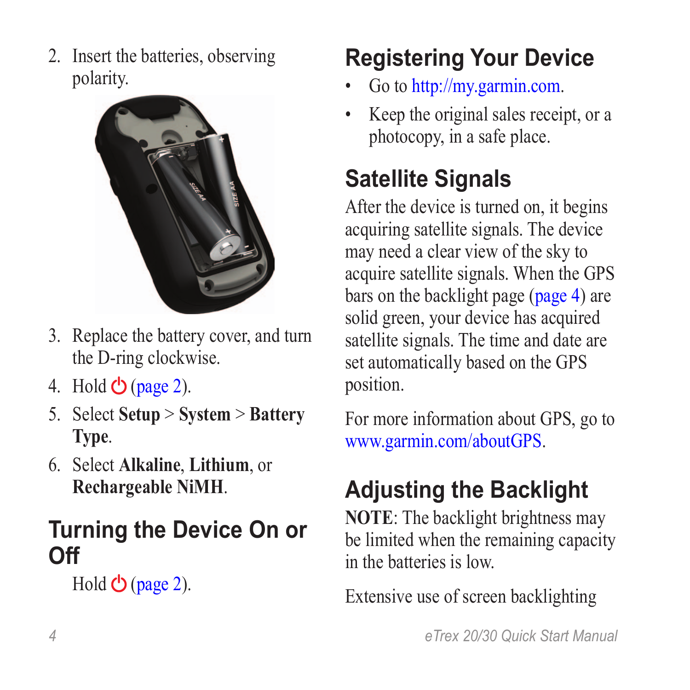2. Insert the batteries, observing polarity.



- 3. Replace the battery cover, and turn the D-ring clockwise.
- 4. Hold  $\bigcirc$  ([page 2](#page-1-0)).
- 5. Select **Setup** > **System** > **Battery Type**.
- 6. Select **Alkaline**, **Lithium**, or **Rechargeable NiMH**.

### <span id="page-3-0"></span>**Turning the Device On or Off**

 $H$ old  $\bigcirc$  ([page 2](#page-1-0)).

# <span id="page-3-1"></span>**Registering Your Device**

- Go to [http://my.garmin.com.](http://my.garmin.com)
- Keep the original sales receipt, or a photocopy, in a safe place.

## <span id="page-3-2"></span>**Satellite Signals**

After the device is turned on, it begins acquiring satellite signals. The device may need a clear view of the sky to acquire satellite signals. When the GPS bars on the backlight page [\(page 4\)](#page-3-3) are solid green, your device has acquired satellite signals. The time and date are set automatically based on the GPS position.

For more information about GPS, go to [www.garmin.com/aboutGPS.](http://www.garmin.com/aboutGPS)

# <span id="page-3-3"></span>**Adjusting the Backlight**

**NOTE:** The backlight brightness may be limited when the remaining capacity in the batteries is low.

Extensive use of screen backlighting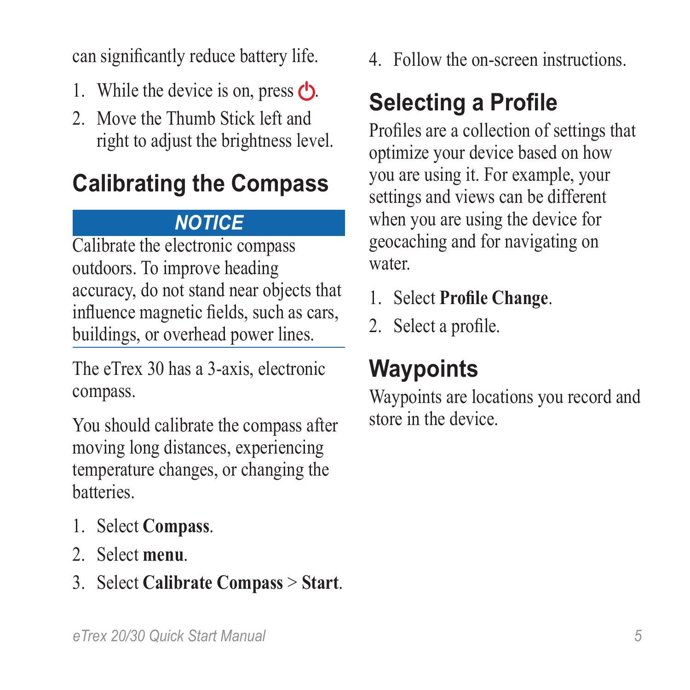can significantly reduce battery life.

- 1. While the device is on, press  $\mathbf{C}$ .
- 2. Move the Thumb Stick left and right to adjust the brightness level.

# <span id="page-4-0"></span>**Calibrating the Compass**

### *Notice*

Calibrate the electronic compass outdoors. To improve heading accuracy, do not stand near objects that influence magnetic fields, such as cars, buildings, or overhead power lines.

The eTrex 30 has a 3-axis, electronic compass.

You should calibrate the compass after moving long distances, experiencing temperature changes, or changing the batteries.

- 1. Select **Compass**.
- 2. Select **menu**.
- 3. Select **Calibrate Compass** > **Start**.

4. Follow the on-screen instructions.

# **Selecting a Profile**

Profiles are a collection of settings that optimize your device based on how you are using it. For example, your settings and views can be different when you are using the device for geocaching and for navigating on water.

- 1. Select **Profile Change**.
- 2. Select a profile.

# **Waypoints**

Waypoints are locations you record and store in the device.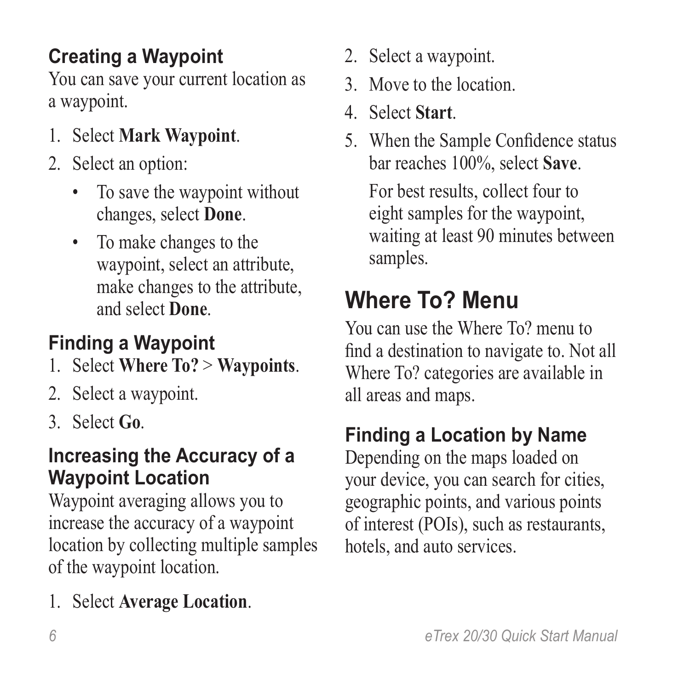### <span id="page-5-0"></span>**Creating a Waypoint**

You can save your current location as a waypoint.

- 1. Select **Mark Waypoint**.
- 2. Select an option:
	- To save the waypoint without changes, select **Done**.
	- To make changes to the waypoint, select an attribute, make changes to the attribute, and select **Done**.

### **Finding a Waypoint**

- 1. Select **Where To?** > **Waypoints**.
- 2. Select a waypoint.
- 3. Select **Go**.

#### **Increasing the Accuracy of a Waypoint Location**

Waypoint averaging allows you to increase the accuracy of a waypoint location by collecting multiple samples of the waypoint location.

1. Select **Average Location**.

- 2. Select a waypoint.
- 3. Move to the location.
- 4. Select **Start**.
- 5. When the Sample Confidence status bar reaches 100%, select **Save**.

For best results, collect four to eight samples for the waypoint, waiting at least 90 minutes between samples.

### **Where To? Menu**

You can use the Where To? menu to find a destination to navigate to. Not all Where To? categories are available in all areas and maps.

### **Finding a Location by Name**

Depending on the maps loaded on your device, you can search for cities, geographic points, and various points of interest (POIs), such as restaurants, hotels, and auto services.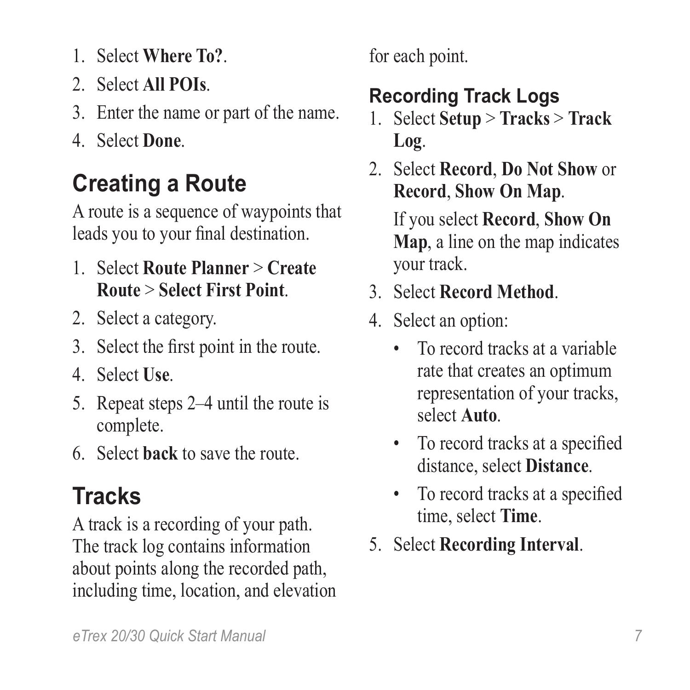- 1. Select **Where To?**.
- 2. Select **All POIs**.
- 3. Enter the name or part of the name.
- 4. Select **Done**.

## <span id="page-6-0"></span>**Creating a Route**

A route is a sequence of waypoints that leads you to your final destination.

- 1. Select **Route Planner** > **Create Route** > **Select First Point**.
- 2. Select a category.
- 3. Select the first point in the route.
- 4. Select **Use**.
- 5. Repeat steps 2–4 until the route is complete.
- 6. Select **back** to save the route.

# **Tracks**

A track is a recording of your path. The track log contains information about points along the recorded path, including time, location, and elevation for each point.

### <span id="page-6-1"></span>**Recording Track Logs**

- 1. Select **Setup** > **Tracks** > **Track Log**.
- 2. Select **Record**, **Do Not Show** or **Record**, **Show On Map**.

If you select **Record**, **Show On Map**, a line on the map indicates your track.

- 3. Select **Record Method**.
- 4. Select an option:
	- To record tracks at a variable rate that creates an optimum representation of your tracks, select **Auto**.
	- To record tracks at a specified distance, select **Distance**.
	- To record tracks at a specified time, select **Time**.
- 5. Select **Recording Interval**.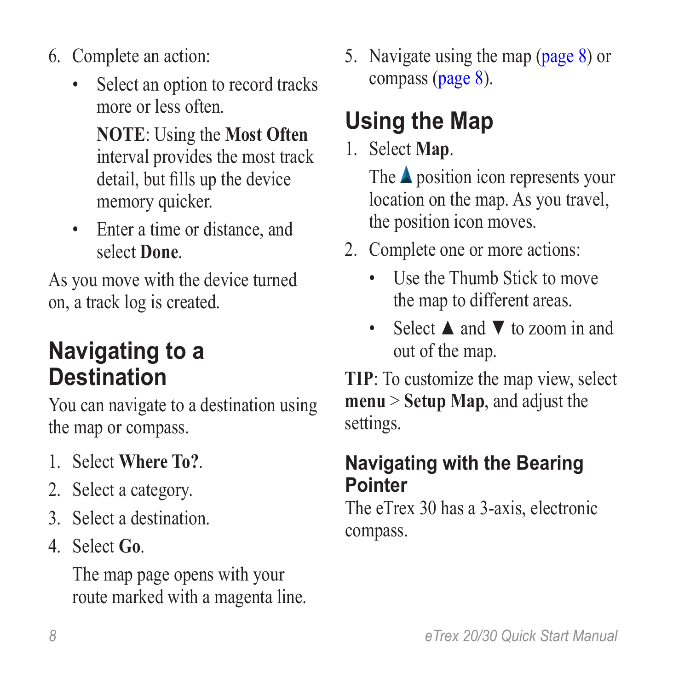- 6. Complete an action:
	- Select an option to record tracks more or less often.

**NOTE**: Using the **Most Often** interval provides the most track detail, but fills up the device memory quicker.

• Enter a time or distance, and select **Done**.

As you move with the device turned on, a track log is created.

### <span id="page-7-0"></span>**Navigating to a Destination**

You can navigate to a destination using the map or compass.

- 1. Select **Where To?**.
- 2. Select a category.
- 3. Select a destination.
- 4. Select **Go**.

The map page opens with your route marked with a magenta line. 5. Navigate using the map [\(page 8\)](#page-7-1) or compass [\(page 8\)](#page-7-0).

# <span id="page-7-1"></span>**Using the Map**

1. Select **Map**.

The  $\triangle$  position icon represents your location on the map. As you travel, the position icon moves.

- 2. Complete one or more actions:
	- Use the Thumb Stick to move the map to different areas.
	- Select **A** and **▼** to zoom in and out of the map.

**Tip**: To customize the map view, select **menu** > **Setup Map**, and adjust the settings.

#### **Navigating with the Bearing Pointer**

The eTrex 30 has a 3-axis, electronic compass.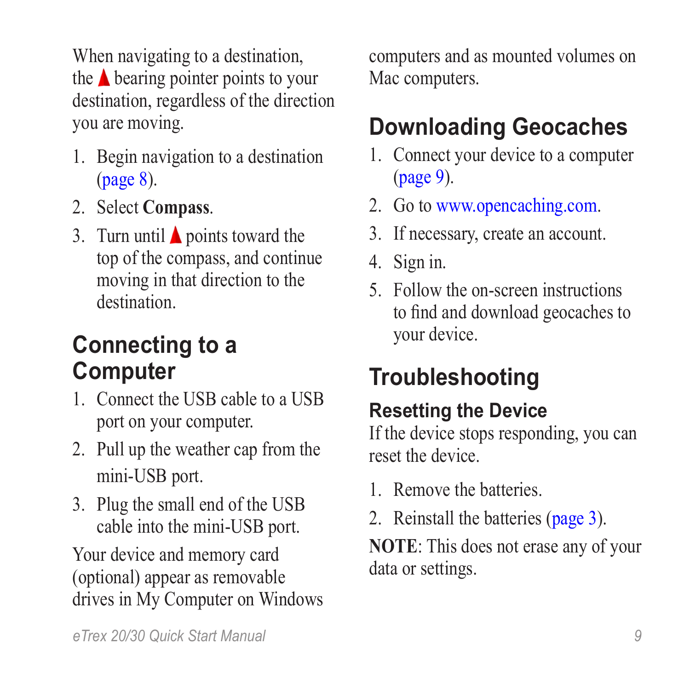When navigating to a destination, the  $\triangle$  bearing pointer points to your destination, regardless of the direction you are moving.

- 1. Begin navigation to a destination ([page 8](#page-7-0)).
- 2. Select **Compass**.
- 3. Turn until  $\triangle$  points toward the top of the compass, and continue moving in that direction to the destination.

### <span id="page-8-0"></span>**Connecting to a Computer**

- 1. Connect the USB cable to a USB port on your computer.
- 2. Pull up the weather cap from the mini-USB port.
- 3. Plug the small end of the USB cable into the mini-USB port.

Your device and memory card (optional) appear as removable drives in My Computer on Windows computers and as mounted volumes on Mac computers.

## **Downloading Geocaches**

- 1. Connect your device to a computer ([page 9](#page-8-0)).
- 2. Go to [www.opencaching.com.](http://www.OpenCaching.com)
- 3. If necessary, create an account.
- 4. Sign in.
- 5. Follow the on-screen instructions to find and download geocaches to your device.

# **Troubleshooting**

### **Resetting the Device**

If the device stops responding, you can reset the device.

- 1. Remove the batteries.
- 2. Reinstall the batteries ([page 3](#page-2-0)).

**NOTE**: This does not erase any of your data or settings.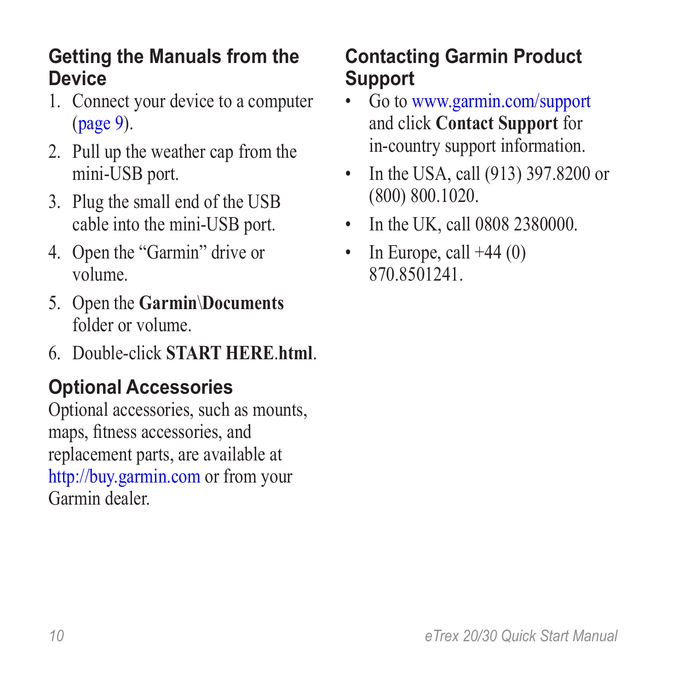#### **Getting the Manuals from the Device**

- 1. Connect your device to a computer ([page 9](#page-8-0)).
- 2. Pull up the weather cap from the mini-USB port.
- 3. Plug the small end of the USB cable into the mini-USB port.
- 4. Open the "Garmin" drive or volume.
- 5. Open the **Garmin**\**Documents** folder or volume.
- 6. Double-click **START HERE**.**html**.

### **Optional Accessories**

Optional accessories, such as mounts, maps, fitness accessories, and replacement parts, are available at <http://buy.garmin.com> or from your Garmin dealer.

#### **Contacting Garmin Product Support**

- Go to [www.garmin.com/support](http://www.garmin.com/support)  and click **Contact Support** for in-country support information.
- In the USA, call (913) 397.8200 or (800) 800.1020.
- In the UK, call 0808 2380000.
- In Europe, call  $+44(0)$ 870.8501241.